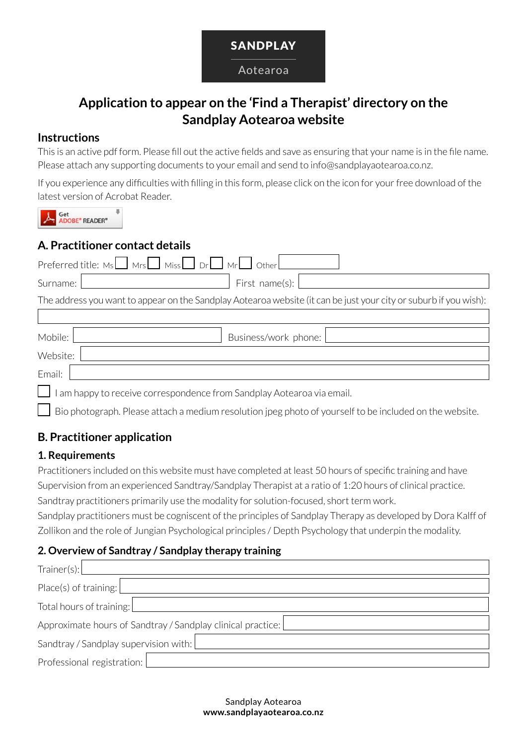

#### Aotearoa

# **Application to appear on the 'Find a Therapist' directory on the Sandplay Aotearoa website**

#### **Instructions**

This is an active pdf form. Please fill out the active fields and save as ensuring that your name is in the file name. Please attach any supporting documents to your email and send to info@sandplayaotearoa.co.nz.

If you experience any difficulties with filling in this form, please click on the icon for your free download of the latest version of Acrobat Reader.

Get<br>**ADOBE**<sup>\*</sup> READER<sup>\*</sup>

## **A. Practitioner contact details**

| Preferred title: $Ms \tMs \tMs$ Miss $\tD r$ other $\tMs$                                                         |  |  |  |  |  |
|-------------------------------------------------------------------------------------------------------------------|--|--|--|--|--|
| First name(s): $\vert$<br>Surname:                                                                                |  |  |  |  |  |
| The address you want to appear on the Sandplay Aotearoa website (it can be just your city or suburb if you wish): |  |  |  |  |  |
|                                                                                                                   |  |  |  |  |  |
| Business/work phone:<br>Mobile:                                                                                   |  |  |  |  |  |
| Website:                                                                                                          |  |  |  |  |  |
| Email:                                                                                                            |  |  |  |  |  |
| am happy to receive correspondence from Sandplay Aotearoa via email.                                              |  |  |  |  |  |

 $\Box$  Bio photograph. Please attach a medium resolution jpeg photo of yourself to be included on the website.

# **B. Practitioner application**

### **1. Requirements**

Practitioners included on this website must have completed at least 50 hours of specific training and have Supervision from an experienced Sandtray/Sandplay Therapist at a ratio of 1:20 hours of clinical practice. Sandtray practitioners primarily use the modality for solution-focused, short term work.

Sandplay practitioners must be cogniscent of the principles of Sandplay Therapy as developed by Dora Kalff of Zollikon and the role of Jungian Psychological principles / Depth Psychology that underpin the modality.

### **2. Overview of Sandtray / Sandplay therapy training**

| Trainer(s):                                                   |  |  |  |  |  |
|---------------------------------------------------------------|--|--|--|--|--|
| Place(s) of training:                                         |  |  |  |  |  |
| Total hours of training:                                      |  |  |  |  |  |
| Approximate hours of Sandtray / Sandplay clinical practice: [ |  |  |  |  |  |
| Sandtray / Sandplay supervision with:                         |  |  |  |  |  |
| Professional registration:                                    |  |  |  |  |  |